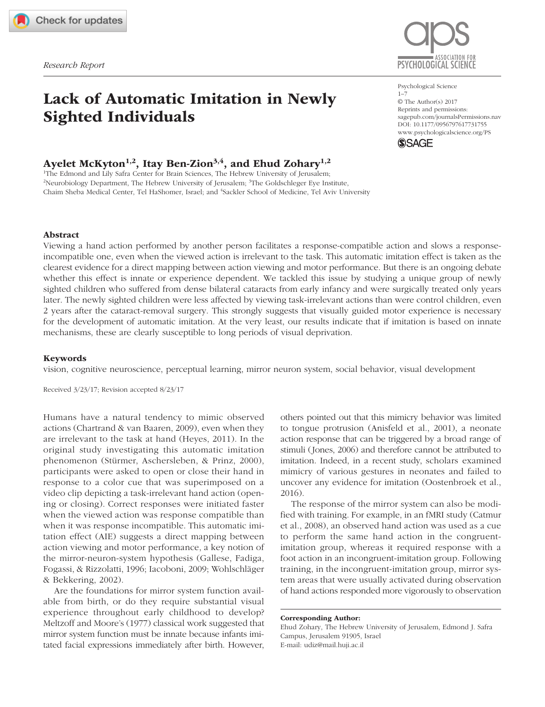[731755](http://crossmark.crossref.org/dialog/?doi=10.1177%2F0956797617731755&domain=pdf&date_stamp=2017-12-12)PSSXXX10.1177/0956797617731755McKyton et al.Lack of Automatic Imitation in Newly Sighted Individuals

# Lack of Automatic Imitation in Newly Sighted Individuals

## Ayelet McKyton<sup>1,2</sup>, Itay Ben-Zion<sup>3,4</sup>, and Ehud Zohary<sup>1,2</sup>

1 The Edmond and Lily Safra Center for Brain Sciences, The Hebrew University of Jerusalem; <sup>2</sup>Neurobiology Department, The Hebrew University of Jerusalem; <sup>3</sup>The Goldschleger Eye Institute, Chaim Sheba Medical Center, Tel HaShomer, Israel; and <sup>4</sup>Sackler School of Medicine, Tel Aviv University



Psychological Science 1–7 © The Author(s) 2017 Reprints and permissions: sagepub.com/journalsPermissions.nav https://doi.org/10.1177/0956797617731755 DOI: 10.1177/0956797617731755 [www.psychologicalscience.org/PS](http://www.psychologicalscience.org/ps) **SSAGE** 

## Abstract

Viewing a hand action performed by another person facilitates a response-compatible action and slows a responseincompatible one, even when the viewed action is irrelevant to the task. This automatic imitation effect is taken as the clearest evidence for a direct mapping between action viewing and motor performance. But there is an ongoing debate whether this effect is innate or experience dependent. We tackled this issue by studying a unique group of newly sighted children who suffered from dense bilateral cataracts from early infancy and were surgically treated only years later. The newly sighted children were less affected by viewing task-irrelevant actions than were control children, even 2 years after the cataract-removal surgery. This strongly suggests that visually guided motor experience is necessary for the development of automatic imitation. At the very least, our results indicate that if imitation is based on innate mechanisms, these are clearly susceptible to long periods of visual deprivation.

## Keywords

vision, cognitive neuroscience, perceptual learning, mirror neuron system, social behavior, visual development

Received 3/23/17; Revision accepted 8/23/17

Humans have a natural tendency to mimic observed actions (Chartrand & van Baaren, 2009), even when they are irrelevant to the task at hand (Heyes, 2011). In the original study investigating this automatic imitation phenomenon (Stürmer, Aschersleben, & Prinz, 2000), participants were asked to open or close their hand in response to a color cue that was superimposed on a video clip depicting a task-irrelevant hand action (opening or closing). Correct responses were initiated faster when the viewed action was response compatible than when it was response incompatible. This automatic imitation effect (AIE) suggests a direct mapping between action viewing and motor performance, a key notion of the mirror-neuron-system hypothesis (Gallese, Fadiga, Fogassi, & Rizzolatti, 1996; Iacoboni, 2009; Wohlschläger & Bekkering, 2002).

Are the foundations for mirror system function available from birth, or do they require substantial visual experience throughout early childhood to develop? Meltzoff and Moore's (1977) classical work suggested that mirror system function must be innate because infants imitated facial expressions immediately after birth. However, others pointed out that this mimicry behavior was limited to tongue protrusion (Anisfeld et al., 2001), a neonate action response that can be triggered by a broad range of stimuli (Jones, 2006) and therefore cannot be attributed to imitation. Indeed, in a recent study, scholars examined mimicry of various gestures in neonates and failed to uncover any evidence for imitation (Oostenbroek et al., 2016).

The response of the mirror system can also be modified with training. For example, in an fMRI study (Catmur et al., 2008), an observed hand action was used as a cue to perform the same hand action in the congruentimitation group, whereas it required response with a foot action in an incongruent-imitation group. Following training, in the incongruent-imitation group, mirror system areas that were usually activated during observation of hand actions responded more vigorously to observation

Ehud Zohary, The Hebrew University of Jerusalem, Edmond J. Safra Campus, Jerusalem 91905, Israel E-mail: [udiz@mail.huji.ac.il](mailto:udiz@mail.huji.ac.il)

Corresponding Author: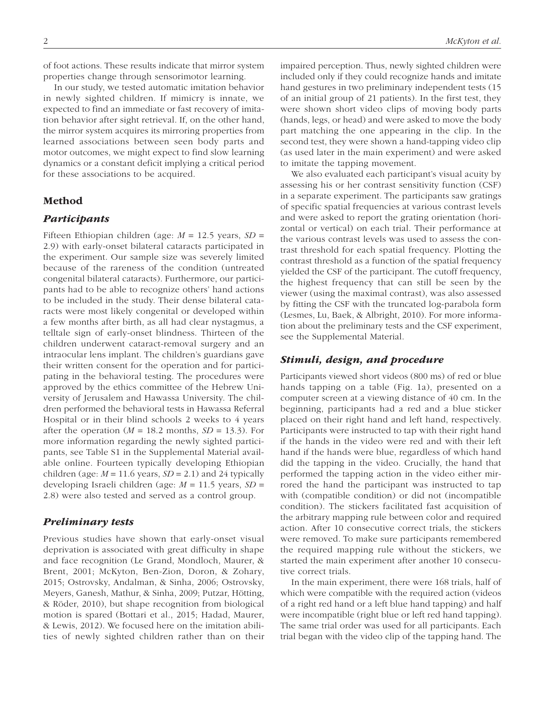of foot actions. These results indicate that mirror system properties change through sensorimotor learning.

In our study, we tested automatic imitation behavior in newly sighted children. If mimicry is innate, we expected to find an immediate or fast recovery of imitation behavior after sight retrieval. If, on the other hand, the mirror system acquires its mirroring properties from learned associations between seen body parts and motor outcomes, we might expect to find slow learning dynamics or a constant deficit implying a critical period for these associations to be acquired.

## Method

## *Participants*

Fifteen Ethiopian children (age: *M* = 12.5 years, *SD* = 2.9) with early-onset bilateral cataracts participated in the experiment. Our sample size was severely limited because of the rareness of the condition (untreated congenital bilateral cataracts). Furthermore, our participants had to be able to recognize others' hand actions to be included in the study. Their dense bilateral cataracts were most likely congenital or developed within a few months after birth, as all had clear nystagmus, a telltale sign of early-onset blindness. Thirteen of the children underwent cataract-removal surgery and an intraocular lens implant. The children's guardians gave their written consent for the operation and for participating in the behavioral testing. The procedures were approved by the ethics committee of the Hebrew University of Jerusalem and Hawassa University. The children performed the behavioral tests in Hawassa Referral Hospital or in their blind schools 2 weeks to 4 years after the operation  $(M = 18.2 \text{ months}, SD = 13.3)$ . For more information regarding the newly sighted participants, see Table S1 in the Supplemental Material available online. Fourteen typically developing Ethiopian children (age:  $M = 11.6$  years,  $SD = 2.1$ ) and 24 typically developing Israeli children (age: *M* = 11.5 years, *SD* = 2.8) were also tested and served as a control group.

## *Preliminary tests*

Previous studies have shown that early-onset visual deprivation is associated with great difficulty in shape and face recognition (Le Grand, Mondloch, Maurer, & Brent, 2001; McKyton, Ben-Zion, Doron, & Zohary, 2015; Ostrovsky, Andalman, & Sinha, 2006; Ostrovsky, Meyers, Ganesh, Mathur, & Sinha, 2009; Putzar, Hötting, & Röder, 2010), but shape recognition from biological motion is spared (Bottari et al., 2015; Hadad, Maurer, & Lewis, 2012). We focused here on the imitation abilities of newly sighted children rather than on their impaired perception. Thus, newly sighted children were included only if they could recognize hands and imitate hand gestures in two preliminary independent tests (15 of an initial group of 21 patients). In the first test, they were shown short video clips of moving body parts (hands, legs, or head) and were asked to move the body part matching the one appearing in the clip. In the second test, they were shown a hand-tapping video clip (as used later in the main experiment) and were asked to imitate the tapping movement.

We also evaluated each participant's visual acuity by assessing his or her contrast sensitivity function (CSF) in a separate experiment. The participants saw gratings of specific spatial frequencies at various contrast levels and were asked to report the grating orientation (horizontal or vertical) on each trial. Their performance at the various contrast levels was used to assess the contrast threshold for each spatial frequency. Plotting the contrast threshold as a function of the spatial frequency yielded the CSF of the participant. The cutoff frequency, the highest frequency that can still be seen by the viewer (using the maximal contrast), was also assessed by fitting the CSF with the truncated log-parabola form (Lesmes, Lu, Baek, & Albright, 2010). For more information about the preliminary tests and the CSF experiment, see the Supplemental Material.

## *Stimuli, design, and procedure*

Participants viewed short videos (800 ms) of red or blue hands tapping on a table (Fig. 1a), presented on a computer screen at a viewing distance of 40 cm. In the beginning, participants had a red and a blue sticker placed on their right hand and left hand, respectively. Participants were instructed to tap with their right hand if the hands in the video were red and with their left hand if the hands were blue, regardless of which hand did the tapping in the video. Crucially, the hand that performed the tapping action in the video either mirrored the hand the participant was instructed to tap with (compatible condition) or did not (incompatible condition). The stickers facilitated fast acquisition of the arbitrary mapping rule between color and required action. After 10 consecutive correct trials, the stickers were removed. To make sure participants remembered the required mapping rule without the stickers, we started the main experiment after another 10 consecutive correct trials.

In the main experiment, there were 168 trials, half of which were compatible with the required action (videos of a right red hand or a left blue hand tapping) and half were incompatible (right blue or left red hand tapping). The same trial order was used for all participants. Each trial began with the video clip of the tapping hand. The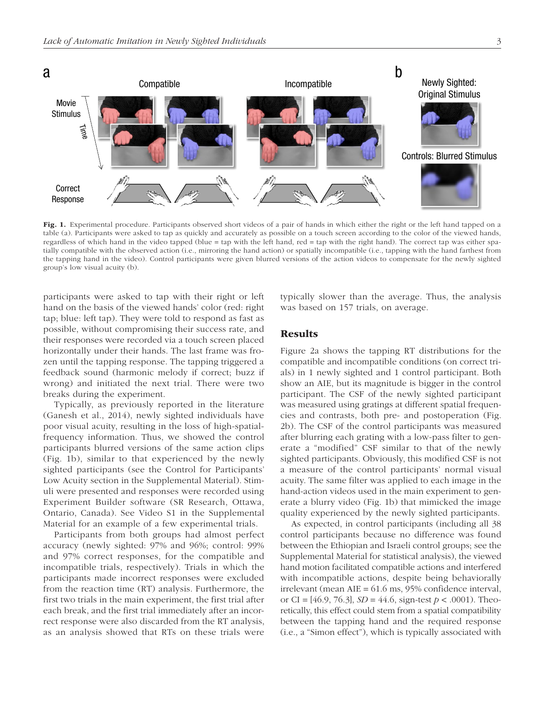Movie Stimulus

T





Fig. 1. Experimental procedure. Participants observed short videos of a pair of hands in which either the right or the left hand tapped on a table (a). Participants were asked to tap as quickly and accurately as possible on a touch screen according to the color of the viewed hands, regardless of which hand in the video tapped (blue = tap with the left hand, red = tap with the right hand). The correct tap was either spatially compatible with the observed action (i.e., mirroring the hand action) or spatially incompatible (i.e., tapping with the hand farthest from the tapping hand in the video). Control participants were given blurred versions of the action videos to compensate for the newly sighted group's low visual acuity (b).

participants were asked to tap with their right or left hand on the basis of the viewed hands' color (red: right tap; blue: left tap). They were told to respond as fast as possible, without compromising their success rate, and their responses were recorded via a touch screen placed horizontally under their hands. The last frame was frozen until the tapping response. The tapping triggered a feedback sound (harmonic melody if correct; buzz if wrong) and initiated the next trial. There were two breaks during the experiment.

Typically, as previously reported in the literature (Ganesh et al., 2014), newly sighted individuals have poor visual acuity, resulting in the loss of high-spatialfrequency information. Thus, we showed the control participants blurred versions of the same action clips (Fig. 1b), similar to that experienced by the newly sighted participants (see the Control for Participants' Low Acuity section in the Supplemental Material). Stimuli were presented and responses were recorded using Experiment Builder software (SR Research, Ottawa, Ontario, Canada). See Video S1 in the Supplemental Material for an example of a few experimental trials.

Participants from both groups had almost perfect accuracy (newly sighted: 97% and 96%; control: 99% and 97% correct responses, for the compatible and incompatible trials, respectively). Trials in which the participants made incorrect responses were excluded from the reaction time (RT) analysis. Furthermore, the first two trials in the main experiment, the first trial after each break, and the first trial immediately after an incorrect response were also discarded from the RT analysis, as an analysis showed that RTs on these trials were typically slower than the average. Thus, the analysis was based on 157 trials, on average.

## Results

Figure 2a shows the tapping RT distributions for the compatible and incompatible conditions (on correct trials) in 1 newly sighted and 1 control participant. Both show an AIE, but its magnitude is bigger in the control participant. The CSF of the newly sighted participant was measured using gratings at different spatial frequencies and contrasts, both pre- and postoperation (Fig. 2b). The CSF of the control participants was measured after blurring each grating with a low-pass filter to generate a "modified" CSF similar to that of the newly sighted participants. Obviously, this modified CSF is not a measure of the control participants' normal visual acuity. The same filter was applied to each image in the hand-action videos used in the main experiment to generate a blurry video (Fig. 1b) that mimicked the image quality experienced by the newly sighted participants.

As expected, in control participants (including all 38 control participants because no difference was found between the Ethiopian and Israeli control groups; see the Supplemental Material for statistical analysis), the viewed hand motion facilitated compatible actions and interfered with incompatible actions, despite being behaviorally irrelevant (mean AIE = 61.6 ms, 95% confidence interval, or CI = [46.9, 76.3], *SD* = 44.6, sign-test *p* < .0001). Theoretically, this effect could stem from a spatial compatibility between the tapping hand and the required response (i.e., a "Simon effect"), which is typically associated with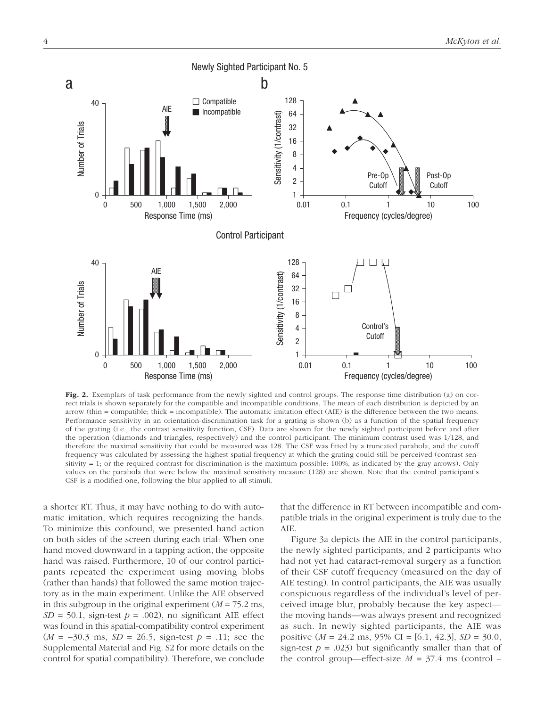

Fig. 2. Exemplars of task performance from the newly sighted and control groups. The response time distribution (a) on correct trials is shown separately for the compatible and incompatible conditions. The mean of each distribution is depicted by an arrow (thin = compatible; thick = incompatible). The automatic imitation effect (AIE) is the difference between the two means. Performance sensitivity in an orientation-discrimination task for a grating is shown (b) as a function of the spatial frequency of the grating (i.e., the contrast sensitivity function, CSF). Data are shown for the newly sighted participant before and after the operation (diamonds and triangles, respectively) and the control participant. The minimum contrast used was 1/128, and therefore the maximal sensitivity that could be measured was 128. The CSF was fitted by a truncated parabola, and the cutoff frequency was calculated by assessing the highest spatial frequency at which the grating could still be perceived (contrast sensitivity = 1; or the required contrast for discrimination is the maximum possible: 100%, as indicated by the gray arrows). Only values on the parabola that were below the maximal sensitivity measure (128) are shown. Note that the control participant's CSF is a modified one, following the blur applied to all stimuli.

a shorter RT. Thus, it may have nothing to do with automatic imitation, which requires recognizing the hands. To minimize this confound, we presented hand action on both sides of the screen during each trial: When one hand moved downward in a tapping action, the opposite hand was raised. Furthermore, 10 of our control participants repeated the experiment using moving blobs (rather than hands) that followed the same motion trajectory as in the main experiment. Unlike the AIE observed in this subgroup in the original experiment (*M* = 75.2 ms,  $SD = 50.1$ , sign-test  $p = .002$ ), no significant AIE effect was found in this spatial-compatibility control experiment (*M* = −30.3 ms, *SD* = 26.5, sign-test *p* = .11; see the Supplemental Material and Fig. S2 for more details on the control for spatial compatibility). Therefore, we conclude that the difference in RT between incompatible and compatible trials in the original experiment is truly due to the AIE.

Figure 3a depicts the AIE in the control participants, the newly sighted participants, and 2 participants who had not yet had cataract-removal surgery as a function of their CSF cutoff frequency (measured on the day of AIE testing). In control participants, the AIE was usually conspicuous regardless of the individual's level of perceived image blur, probably because the key aspect the moving hands—was always present and recognized as such. In newly sighted participants, the AIE was positive (*M* = 24.2 ms, 95% CI = [6.1, 42.3], *SD* = 30.0, sign-test  $p = .023$ ) but significantly smaller than that of the control group—effect-size  $M = 37.4$  ms (control –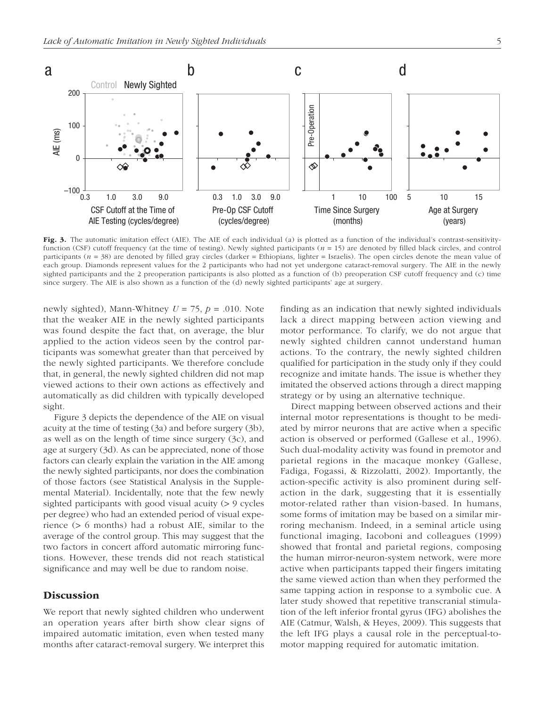

Fig. 3. The automatic imitation effect (AIE). The AIE of each individual (a) is plotted as a function of the individual's contrast-sensitivityfunction (CSF) cutoff frequency (at the time of testing). Newly sighted participants (*n* = 15) are denoted by filled black circles, and control participants ( $n = 38$ ) are denoted by filled gray circles (darker = Ethiopians, lighter = Israelis). The open circles denote the mean value of each group. Diamonds represent values for the 2 participants who had not yet undergone cataract-removal surgery. The AIE in the newly sighted participants and the 2 preoperation participants is also plotted as a function of (b) preoperation CSF cutoff frequency and (c) time since surgery. The AIE is also shown as a function of the (d) newly sighted participants' age at surgery.

newly sighted), Mann-Whitney  $U = 75$ ,  $p = .010$ . Note that the weaker AIE in the newly sighted participants was found despite the fact that, on average, the blur applied to the action videos seen by the control participants was somewhat greater than that perceived by the newly sighted participants. We therefore conclude that, in general, the newly sighted children did not map viewed actions to their own actions as effectively and automatically as did children with typically developed sight.

Figure 3 depicts the dependence of the AIE on visual acuity at the time of testing (3a) and before surgery (3b), as well as on the length of time since surgery (3c), and age at surgery (3d). As can be appreciated, none of those factors can clearly explain the variation in the AIE among the newly sighted participants, nor does the combination of those factors (see Statistical Analysis in the Supplemental Material). Incidentally, note that the few newly sighted participants with good visual acuity (> 9 cycles per degree) who had an extended period of visual experience (> 6 months) had a robust AIE, similar to the average of the control group. This may suggest that the two factors in concert afford automatic mirroring functions. However, these trends did not reach statistical significance and may well be due to random noise.

## **Discussion**

We report that newly sighted children who underwent an operation years after birth show clear signs of impaired automatic imitation, even when tested many months after cataract-removal surgery. We interpret this finding as an indication that newly sighted individuals lack a direct mapping between action viewing and motor performance. To clarify, we do not argue that newly sighted children cannot understand human actions. To the contrary, the newly sighted children qualified for participation in the study only if they could recognize and imitate hands. The issue is whether they imitated the observed actions through a direct mapping strategy or by using an alternative technique.

Direct mapping between observed actions and their internal motor representations is thought to be mediated by mirror neurons that are active when a specific action is observed or performed (Gallese et al., 1996). Such dual-modality activity was found in premotor and parietal regions in the macaque monkey (Gallese, Fadiga, Fogassi, & Rizzolatti, 2002). Importantly, the action-specific activity is also prominent during selfaction in the dark, suggesting that it is essentially motor-related rather than vision-based. In humans, some forms of imitation may be based on a similar mirroring mechanism. Indeed, in a seminal article using functional imaging, Iacoboni and colleagues (1999) showed that frontal and parietal regions, composing the human mirror-neuron-system network, were more active when participants tapped their fingers imitating the same viewed action than when they performed the same tapping action in response to a symbolic cue. A later study showed that repetitive transcranial stimulation of the left inferior frontal gyrus (IFG) abolishes the AIE (Catmur, Walsh, & Heyes, 2009). This suggests that the left IFG plays a causal role in the perceptual-tomotor mapping required for automatic imitation.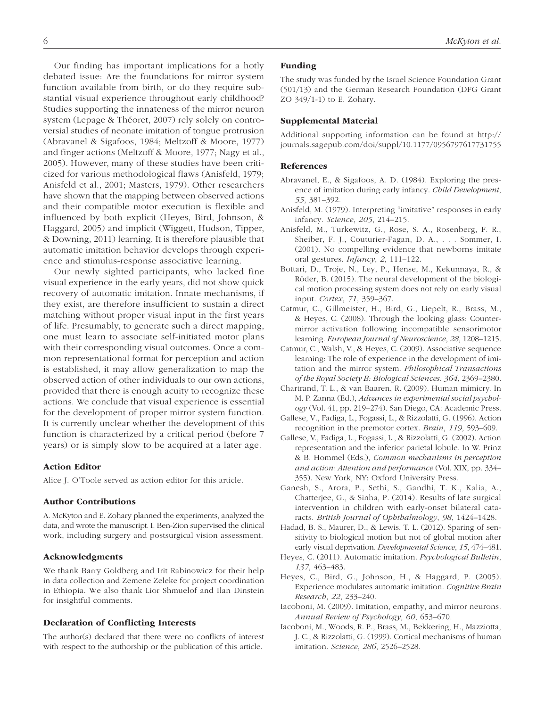Our finding has important implications for a hotly debated issue: Are the foundations for mirror system function available from birth, or do they require substantial visual experience throughout early childhood? Studies supporting the innateness of the mirror neuron system (Lepage & Théoret, 2007) rely solely on controversial studies of neonate imitation of tongue protrusion (Abravanel & Sigafoos, 1984; Meltzoff & Moore, 1977) and finger actions (Meltzoff & Moore, 1977; Nagy et al., 2005). However, many of these studies have been criticized for various methodological flaws (Anisfeld, 1979; Anisfeld et al., 2001; Masters, 1979). Other researchers have shown that the mapping between observed actions and their compatible motor execution is flexible and influenced by both explicit (Heyes, Bird, Johnson, & Haggard, 2005) and implicit (Wiggett, Hudson, Tipper, & Downing, 2011) learning. It is therefore plausible that automatic imitation behavior develops through experience and stimulus-response associative learning.

Our newly sighted participants, who lacked fine visual experience in the early years, did not show quick recovery of automatic imitation. Innate mechanisms, if they exist, are therefore insufficient to sustain a direct matching without proper visual input in the first years of life. Presumably, to generate such a direct mapping, one must learn to associate self-initiated motor plans with their corresponding visual outcomes. Once a common representational format for perception and action is established, it may allow generalization to map the observed action of other individuals to our own actions, provided that there is enough acuity to recognize these actions. We conclude that visual experience is essential for the development of proper mirror system function. It is currently unclear whether the development of this function is characterized by a critical period (before 7 years) or is simply slow to be acquired at a later age.

#### Action Editor

Alice J. O'Toole served as action editor for this article.

## Author Contributions

A. McKyton and E. Zohary planned the experiments, analyzed the data, and wrote the manuscript. I. Ben-Zion supervised the clinical work, including surgery and postsurgical vision assessment.

## Acknowledgments

We thank Barry Goldberg and Irit Rabinowicz for their help in data collection and Zemene Zeleke for project coordination in Ethiopia. We also thank Lior Shmuelof and Ilan Dinstein for insightful comments.

## Declaration of Conflicting Interests

The author(s) declared that there were no conflicts of interest with respect to the authorship or the publication of this article.

#### Funding

The study was funded by the Israel Science Foundation Grant (501/13) and the German Research Foundation (DFG Grant ZO 349/1-1) to E. Zohary.

#### Supplemental Material

Additional supporting information can be found at [http://](http://journals.sagepub.com/doi/suppl/10.1177/0956797617731755) [journals.sagepub.com/doi/suppl/10.1177/0956797617731755](http://journals.sagepub.com/doi/suppl/10.1177/0956797617731755)

#### References

- Abravanel, E., & Sigafoos, A. D. (1984). Exploring the presence of imitation during early infancy. *Child Development*, *55*, 381–392.
- Anisfeld, M. (1979). Interpreting "imitative" responses in early infancy. *Science*, *205*, 214–215.
- Anisfeld, M., Turkewitz, G., Rose, S. A., Rosenberg, F. R., Sheiber, F. J., Couturier-Fagan, D. A., . . . Sommer, I. (2001). No compelling evidence that newborns imitate oral gestures. *Infancy*, *2*, 111–122.
- Bottari, D., Troje, N., Ley, P., Hense, M., Kekunnaya, R., & Röder, B. (2015). The neural development of the biological motion processing system does not rely on early visual input. *Cortex*, *71*, 359–367.
- Catmur, C., Gillmeister, H., Bird, G., Liepelt, R., Brass, M., & Heyes, C. (2008). Through the looking glass: Countermirror activation following incompatible sensorimotor learning. *European Journal of Neuroscience*, *28*, 1208–1215.
- Catmur, C., Walsh, V., & Heyes, C. (2009). Associative sequence learning: The role of experience in the development of imitation and the mirror system. *Philosophical Transactions of the Royal Society B: Biological Sciences*, *364*, 2369–2380.
- Chartrand, T. L., & van Baaren, R. (2009). Human mimicry. In M. P. Zanna (Ed.), *Advances in experimental social psychology* (Vol. 41, pp. 219–274). San Diego, CA: Academic Press.
- Gallese, V., Fadiga, L., Fogassi, L., & Rizzolatti, G. (1996). Action recognition in the premotor cortex. *Brain*, *119*, 593–609.
- Gallese, V., Fadiga, L., Fogassi, L., & Rizzolatti, G. (2002). Action representation and the inferior parietal lobule. In W. Prinz & B. Hommel (Eds.), *Common mechanisms in perception and action: Attention and performance* (Vol. XIX, pp. 334– 355). New York, NY: Oxford University Press.
- Ganesh, S., Arora, P., Sethi, S., Gandhi, T. K., Kalia, A., Chatterjee, G., & Sinha, P. (2014). Results of late surgical intervention in children with early-onset bilateral cataracts. *British Journal of Ophthalmology*, *98*, 1424–1428.
- Hadad, B. S., Maurer, D., & Lewis, T. L. (2012). Sparing of sensitivity to biological motion but not of global motion after early visual deprivation. *Developmental Science*, *15*, 474–481.
- Heyes, C. (2011). Automatic imitation. *Psychological Bulletin*, *137*, 463–483.
- Heyes, C., Bird, G., Johnson, H., & Haggard, P. (2005). Experience modulates automatic imitation. *Cognitive Brain Research*, *22*, 233–240.
- Iacoboni, M. (2009). Imitation, empathy, and mirror neurons. *Annual Review of Psychology*, *60*, 653–670.
- Iacoboni, M., Woods, R. P., Brass, M., Bekkering, H., Mazziotta, J. C., & Rizzolatti, G. (1999). Cortical mechanisms of human imitation. *Science*, *286*, 2526–2528.